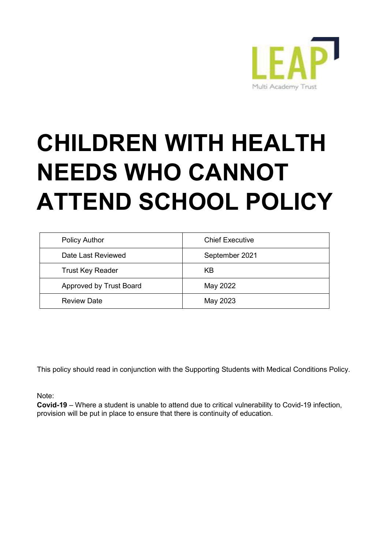

# **CHILDREN WITH HEALTH NEEDS WHO CANNOT ATTEND SCHOOL POLICY**

| <b>Policy Author</b>    | <b>Chief Executive</b> |
|-------------------------|------------------------|
| Date Last Reviewed      | September 2021         |
| <b>Trust Key Reader</b> | KB                     |
| Approved by Trust Board | May 2022               |
| <b>Review Date</b>      | May 2023               |

This policy should read in conjunction with the Supporting Students with Medical Conditions Policy.

Note:

**Covid-19** – Where a student is unable to attend due to critical vulnerability to Covid-19 infection, provision will be put in place to ensure that there is continuity of education.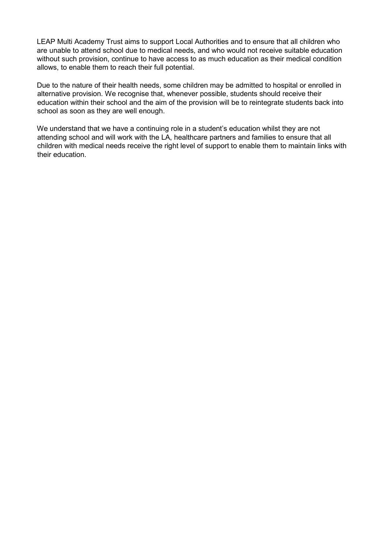LEAP Multi Academy Trust aims to support Local Authorities and to ensure that all children who are unable to attend school due to medical needs, and who would not receive suitable education without such provision, continue to have access to as much education as their medical condition allows, to enable them to reach their full potential.

Due to the nature of their health needs, some children may be admitted to hospital or enrolled in alternative provision. We recognise that, whenever possible, students should receive their education within their school and the aim of the provision will be to reintegrate students back into school as soon as they are well enough.

We understand that we have a continuing role in a student's education whilst they are not attending school and will work with the LA, healthcare partners and families to ensure that all children with medical needs receive the right level of support to enable them to maintain links with their education.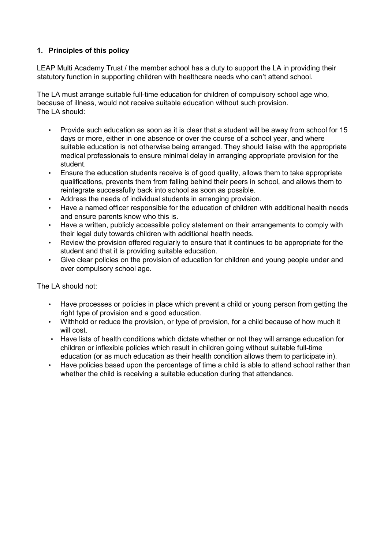# **1. Principles of this policy**

LEAP Multi Academy Trust / the member school has a duty to support the LA in providing their statutory function in supporting children with healthcare needs who can't attend school.

The LA must arrange suitable full-time education for children of compulsory school age who, because of illness, would not receive suitable education without such provision. The LA should:

- Provide such education as soon as it is clear that a student will be away from school for 15 days or more, either in one absence or over the course of a school year, and where suitable education is not otherwise being arranged. They should liaise with the appropriate medical professionals to ensure minimal delay in arranging appropriate provision for the student.
- Ensure the education students receive is of good quality, allows them to take appropriate qualifications, prevents them from falling behind their peers in school, and allows them to reintegrate successfully back into school as soon as possible.
- Address the needs of individual students in arranging provision.
- Have a named officer responsible for the education of children with additional health needs and ensure parents know who this is.
- Have a written, publicly accessible policy statement on their arrangements to comply with their legal duty towards children with additional health needs.
- Review the provision offered regularly to ensure that it continues to be appropriate for the student and that it is providing suitable education.
- Give clear policies on the provision of education for children and young people under and over compulsory school age.

The LA should not:

- Have processes or policies in place which prevent a child or young person from getting the right type of provision and a good education.
- Withhold or reduce the provision, or type of provision, for a child because of how much it will cost.
- Have lists of health conditions which dictate whether or not they will arrange education for children or inflexible policies which result in children going without suitable full-time education (or as much education as their health condition allows them to participate in).
- Have policies based upon the percentage of time a child is able to attend school rather than whether the child is receiving a suitable education during that attendance.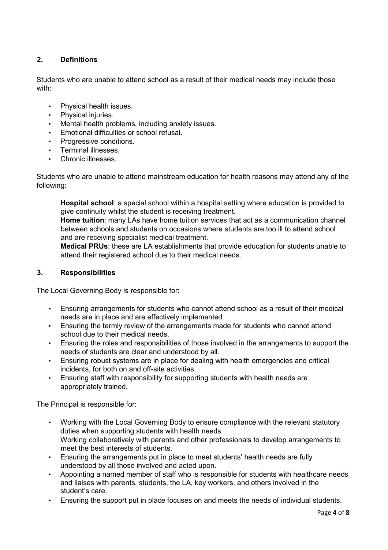## **2. Definitions**

Students who are unable to attend school as a result of their medical needs may include those with:

- Physical health issues.
- Physical injuries.
- Mental health problems, including anxiety issues.
- Emotional difficulties or school refusal.
- Progressive conditions.
- Terminal illnesses.
- Chronic illnesses.

Students who are unable to attend mainstream education for health reasons may attend any of the following:

**Hospital school**: a special school within a hospital setting where education is provided to give continuity whilst the student is receiving treatment.

**Home tuition**: many LAs have home tuition services that act as a communication channel between schools and students on occasions where students are too ill to attend school and are receiving specialist medical treatment.

**Medical PRUs**: these are LA establishments that provide education for students unable to attend their registered school due to their medical needs.

### **3. Responsibilities**

The Local Governing Body is responsible for:

- Ensuring arrangements for students who cannot attend school as a result of their medical needs are in place and are effectively implemented.
- Ensuring the termly review of the arrangements made for students who cannot attend school due to their medical needs.
- Ensuring the roles and responsibilities of those involved in the arrangements to support the needs of students are clear and understood by all.
- Ensuring robust systems are in place for dealing with health emergencies and critical incidents, for both on and off-site activities.
- Ensuring staff with responsibility for supporting students with health needs are appropriately trained.

The Principal is responsible for:

- Working with the Local Governing Body to ensure compliance with the relevant statutory duties when supporting students with health needs. Working collaboratively with parents and other professionals to develop arrangements to meet the best interests of students.
- Ensuring the arrangements put in place to meet students' health needs are fully understood by all those involved and acted upon.
- Appointing a named member of staff who is responsible for students with healthcare needs and liaises with parents, students, the LA, key workers, and others involved in the student's care.
- Ensuring the support put in place focuses on and meets the needs of individual students.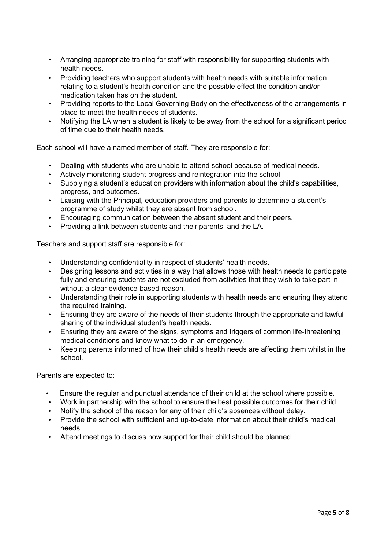- Arranging appropriate training for staff with responsibility for supporting students with health needs.
- Providing teachers who support students with health needs with suitable information relating to a student's health condition and the possible effect the condition and/or medication taken has on the student.
- Providing reports to the Local Governing Body on the effectiveness of the arrangements in place to meet the health needs of students.
- Notifying the LA when a student is likely to be away from the school for a significant period of time due to their health needs.

Each school will have a named member of staff. They are responsible for:

- Dealing with students who are unable to attend school because of medical needs.
- Actively monitoring student progress and reintegration into the school.
- Supplying a student's education providers with information about the child's capabilities, progress, and outcomes.
- Liaising with the Principal, education providers and parents to determine a student's programme of study whilst they are absent from school.
- Encouraging communication between the absent student and their peers.
- Providing a link between students and their parents, and the LA.

Teachers and support staff are responsible for:

- Understanding confidentiality in respect of students' health needs.
- Designing lessons and activities in a way that allows those with health needs to participate fully and ensuring students are not excluded from activities that they wish to take part in without a clear evidence-based reason.
- Understanding their role in supporting students with health needs and ensuring they attend the required training.
- Ensuring they are aware of the needs of their students through the appropriate and lawful sharing of the individual student's health needs.
- Ensuring they are aware of the signs, symptoms and triggers of common life-threatening medical conditions and know what to do in an emergency.
- Keeping parents informed of how their child's health needs are affecting them whilst in the school.

Parents are expected to:

- Ensure the regular and punctual attendance of their child at the school where possible.
- Work in partnership with the school to ensure the best possible outcomes for their child.
- Notify the school of the reason for any of their child's absences without delay.
- Provide the school with sufficient and up-to-date information about their child's medical needs.
- Attend meetings to discuss how support for their child should be planned.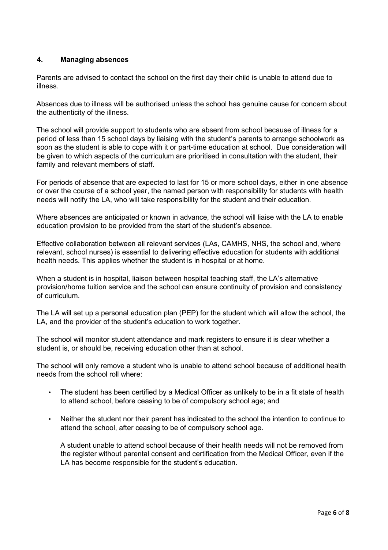## **4. Managing absences**

Parents are advised to contact the school on the first day their child is unable to attend due to illness.

Absences due to illness will be authorised unless the school has genuine cause for concern about the authenticity of the illness.

The school will provide support to students who are absent from school because of illness for a period of less than 15 school days by liaising with the student's parents to arrange schoolwork as soon as the student is able to cope with it or part-time education at school. Due consideration will be given to which aspects of the curriculum are prioritised in consultation with the student, their family and relevant members of staff.

For periods of absence that are expected to last for 15 or more school days, either in one absence or over the course of a school year, the named person with responsibility for students with health needs will notify the LA, who will take responsibility for the student and their education.

Where absences are anticipated or known in advance, the school will liaise with the LA to enable education provision to be provided from the start of the student's absence.

Effective collaboration between all relevant services (LAs, CAMHS, NHS, the school and, where relevant, school nurses) is essential to delivering effective education for students with additional health needs. This applies whether the student is in hospital or at home.

When a student is in hospital, liaison between hospital teaching staff, the LA's alternative provision/home tuition service and the school can ensure continuity of provision and consistency of curriculum.

The LA will set up a personal education plan (PEP) for the student which will allow the school, the LA, and the provider of the student's education to work together.

The school will monitor student attendance and mark registers to ensure it is clear whether a student is, or should be, receiving education other than at school.

The school will only remove a student who is unable to attend school because of additional health needs from the school roll where:

- The student has been certified by a Medical Officer as unlikely to be in a fit state of health to attend school, before ceasing to be of compulsory school age; and
- Neither the student nor their parent has indicated to the school the intention to continue to attend the school, after ceasing to be of compulsory school age.

A student unable to attend school because of their health needs will not be removed from the register without parental consent and certification from the Medical Officer, even if the LA has become responsible for the student's education.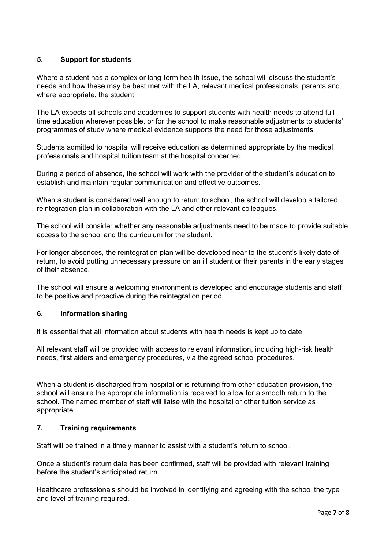## **5. Support for students**

Where a student has a complex or long-term health issue, the school will discuss the student's needs and how these may be best met with the LA, relevant medical professionals, parents and, where appropriate, the student.

The LA expects all schools and academies to support students with health needs to attend fulltime education wherever possible, or for the school to make reasonable adjustments to students' programmes of study where medical evidence supports the need for those adjustments.

Students admitted to hospital will receive education as determined appropriate by the medical professionals and hospital tuition team at the hospital concerned.

During a period of absence, the school will work with the provider of the student's education to establish and maintain regular communication and effective outcomes.

When a student is considered well enough to return to school, the school will develop a tailored reintegration plan in collaboration with the LA and other relevant colleagues.

The school will consider whether any reasonable adjustments need to be made to provide suitable access to the school and the curriculum for the student.

For longer absences, the reintegration plan will be developed near to the student's likely date of return, to avoid putting unnecessary pressure on an ill student or their parents in the early stages of their absence.

The school will ensure a welcoming environment is developed and encourage students and staff to be positive and proactive during the reintegration period.

## **6. Information sharing**

It is essential that all information about students with health needs is kept up to date.

All relevant staff will be provided with access to relevant information, including high-risk health needs, first aiders and emergency procedures, via the agreed school procedures.

When a student is discharged from hospital or is returning from other education provision, the school will ensure the appropriate information is received to allow for a smooth return to the school. The named member of staff will liaise with the hospital or other tuition service as appropriate.

#### **7. Training requirements**

Staff will be trained in a timely manner to assist with a student's return to school.

Once a student's return date has been confirmed, staff will be provided with relevant training before the student's anticipated return.

Healthcare professionals should be involved in identifying and agreeing with the school the type and level of training required.